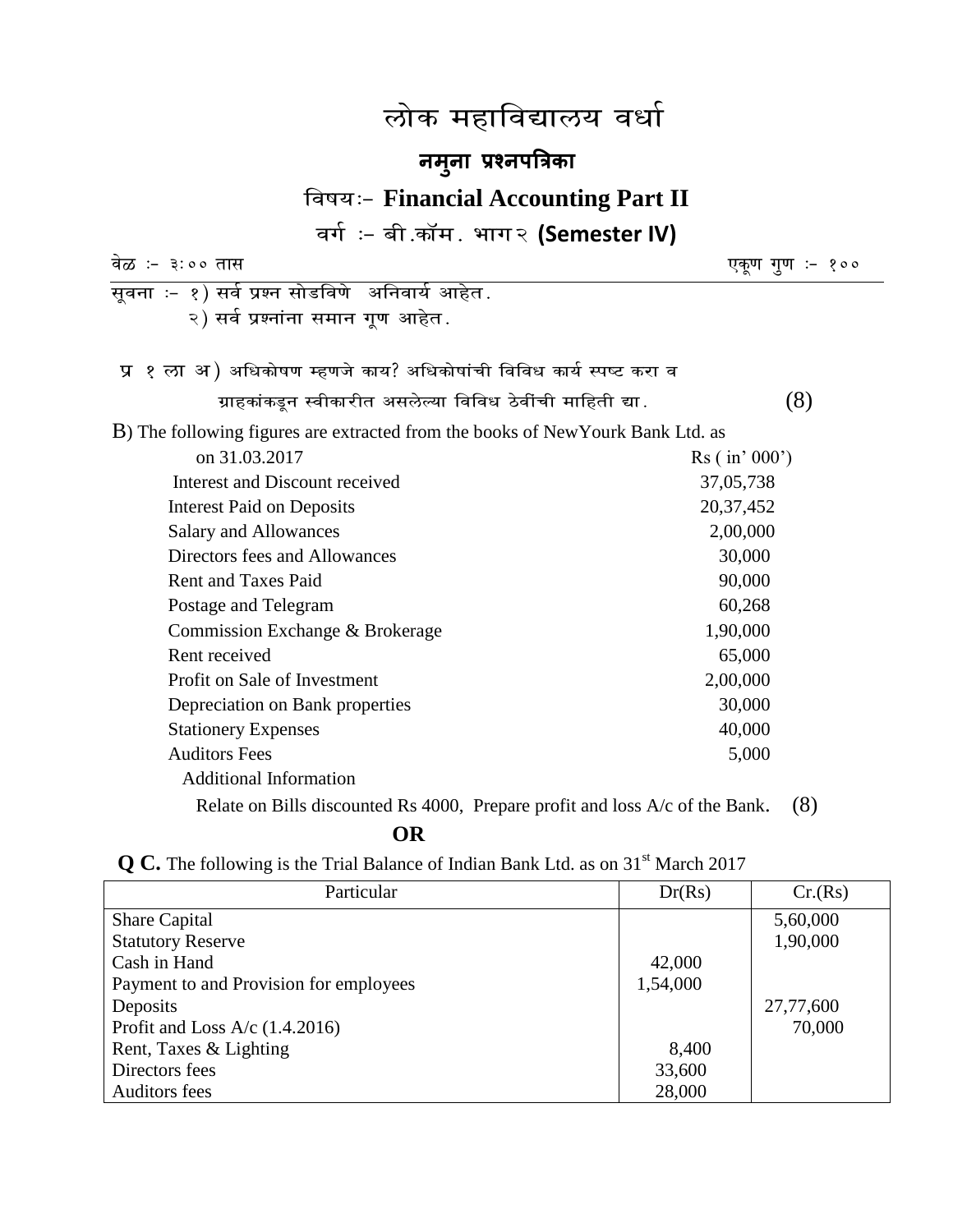# लोक महाविद्यालय वर्धा

# **नमन ु ा प्रश्नपत्रिका**

# **faषय:- Financial Accounting Part II**

वर्गः – बी.कॉम. भाग२ **(Semester IV)** 

| वेळ :- ३:०० तास                                                                 | एकूण गूण :- १००         |
|---------------------------------------------------------------------------------|-------------------------|
| सूवना :- १) सर्व प्रश्न सोडविणे  अनिवार्य आहेत .                                |                         |
| २) सर्व प्रश्नांना समान गूण आहेत.                                               |                         |
|                                                                                 |                         |
| प्र १ ला अ ) अधिकोषण म्हणजे काय? अधिकोषांची विविध कार्य स्पष्ट करा व            |                         |
| ग्राहकांकडून स्वीकारीत असलेल्या विविध ठेवींची माहिती द्या.                      | (8)                     |
| B) The following figures are extracted from the books of New Yourk Bank Ltd. as |                         |
| on 31.03.2017                                                                   | $\text{Rs}$ ( in' 000') |
| Interest and Discount received                                                  | 37,05,738               |
| <b>Interest Paid on Deposits</b>                                                | 20, 37, 452             |
| Salary and Allowances                                                           | 2,00,000                |
| Directors fees and Allowances                                                   | 30,000                  |
| <b>Rent and Taxes Paid</b>                                                      | 90,000                  |
| Postage and Telegram                                                            | 60,268                  |
| Commission Exchange & Brokerage                                                 | 1,90,000                |
| Rent received                                                                   | 65,000                  |
| Profit on Sale of Investment                                                    | 2,00,000                |
| Depreciation on Bank properties                                                 | 30,000                  |
| <b>Stationery Expenses</b>                                                      | 40,000                  |
| <b>Auditors Fees</b>                                                            | 5,000                   |
| <b>Additional Information</b>                                                   |                         |
| Relate on Bills discounted Rs 4000, Prepare profit and loss A/c of the Bank.    | (8)                     |

## **OR**

|  |  |  |  |  |  |  | $\mathbf{Q}$ C. The following is the Trial Balance of Indian Bank Ltd. as on 31 <sup>st</sup> March 2017 |  |  |  |  |  |  |  |  |
|--|--|--|--|--|--|--|----------------------------------------------------------------------------------------------------------|--|--|--|--|--|--|--|--|
|--|--|--|--|--|--|--|----------------------------------------------------------------------------------------------------------|--|--|--|--|--|--|--|--|

| Particular                             | Dr(Rs)   | Cr(Rs)    |
|----------------------------------------|----------|-----------|
| <b>Share Capital</b>                   |          | 5,60,000  |
| <b>Statutory Reserve</b>               |          | 1,90,000  |
| Cash in Hand                           | 42,000   |           |
| Payment to and Provision for employees | 1,54,000 |           |
| Deposits                               |          | 27,77,600 |
| Profit and Loss A/c $(1.4.2016)$       |          | 70,000    |
| Rent, Taxes & Lighting                 | 8,400    |           |
| Directors fees                         | 33,600   |           |
| <b>Auditors fees</b>                   | 28,000   |           |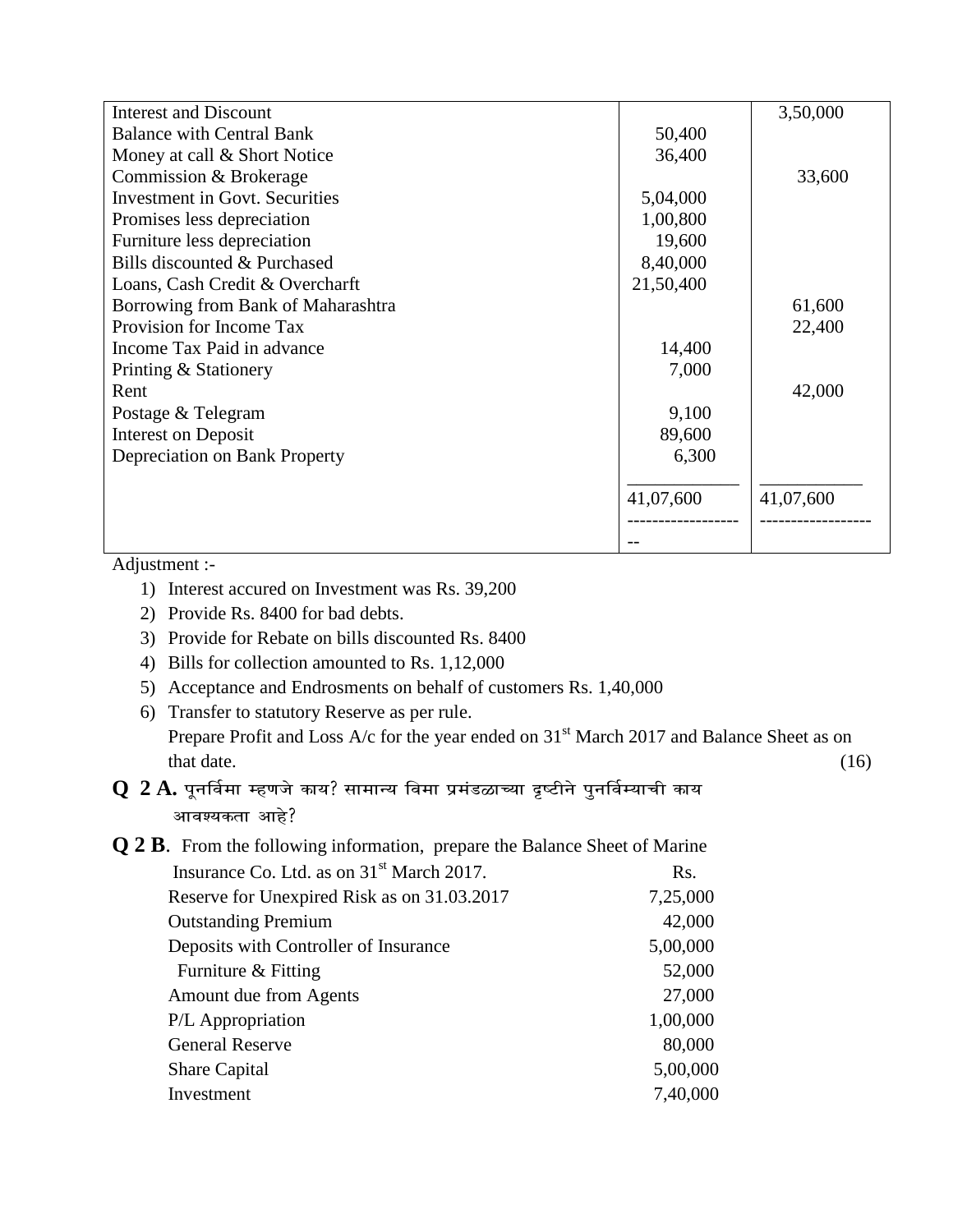| <b>Interest and Discount</b>          |           | 3,50,000  |
|---------------------------------------|-----------|-----------|
| <b>Balance with Central Bank</b>      | 50,400    |           |
| Money at call & Short Notice          | 36,400    |           |
| Commission & Brokerage                |           | 33,600    |
| <b>Investment in Govt. Securities</b> | 5,04,000  |           |
| Promises less depreciation            | 1,00,800  |           |
| Furniture less depreciation           | 19,600    |           |
| Bills discounted & Purchased          | 8,40,000  |           |
| Loans, Cash Credit & Overcharft       | 21,50,400 |           |
| Borrowing from Bank of Maharashtra    |           | 61,600    |
| Provision for Income Tax              |           | 22,400    |
| Income Tax Paid in advance            | 14,400    |           |
| Printing & Stationery                 | 7,000     |           |
| Rent                                  |           | 42,000    |
| Postage & Telegram                    | 9,100     |           |
| <b>Interest on Deposit</b>            | 89,600    |           |
| Depreciation on Bank Property         | 6,300     |           |
|                                       | 41,07,600 | 41,07,600 |
|                                       |           |           |

Adjustment :-

- 1) Interest accured on Investment was Rs. 39,200
- 2) Provide Rs. 8400 for bad debts.
- 3) Provide for Rebate on bills discounted Rs. 8400
- 4) Bills for collection amounted to Rs. 1,12,000
- 5) Acceptance and Endrosments on behalf of customers Rs. 1,40,000
- 6) Transfer to statutory Reserve as per rule. Prepare Profit and Loss A/c for the year ended on 31<sup>st</sup> March 2017 and Balance Sheet as on that date.  $(16)$

### ${\bf Q}$   ${\bf 2}$  ${\bf A}$ . पूनर्विमा म्हणजे काय? सामान्य विमा प्रमंडळाच्या दृष्टीने पुनर्विम्याची काय आवश्यकता आहे?

**Q 2 B**. From the following information, prepare the Balance Sheet of Marine

| Insurance Co. Ltd. as on 31 <sup>st</sup> March 2017. | Rs.      |
|-------------------------------------------------------|----------|
| Reserve for Unexpired Risk as on 31.03.2017           | 7,25,000 |
| <b>Outstanding Premium</b>                            | 42,000   |
| Deposits with Controller of Insurance                 | 5,00,000 |
| Furniture & Fitting                                   | 52,000   |
| Amount due from Agents                                | 27,000   |
| P/L Appropriation                                     | 1,00,000 |
| <b>General Reserve</b>                                | 80,000   |
| <b>Share Capital</b>                                  | 5,00,000 |
| Investment                                            | 7,40,000 |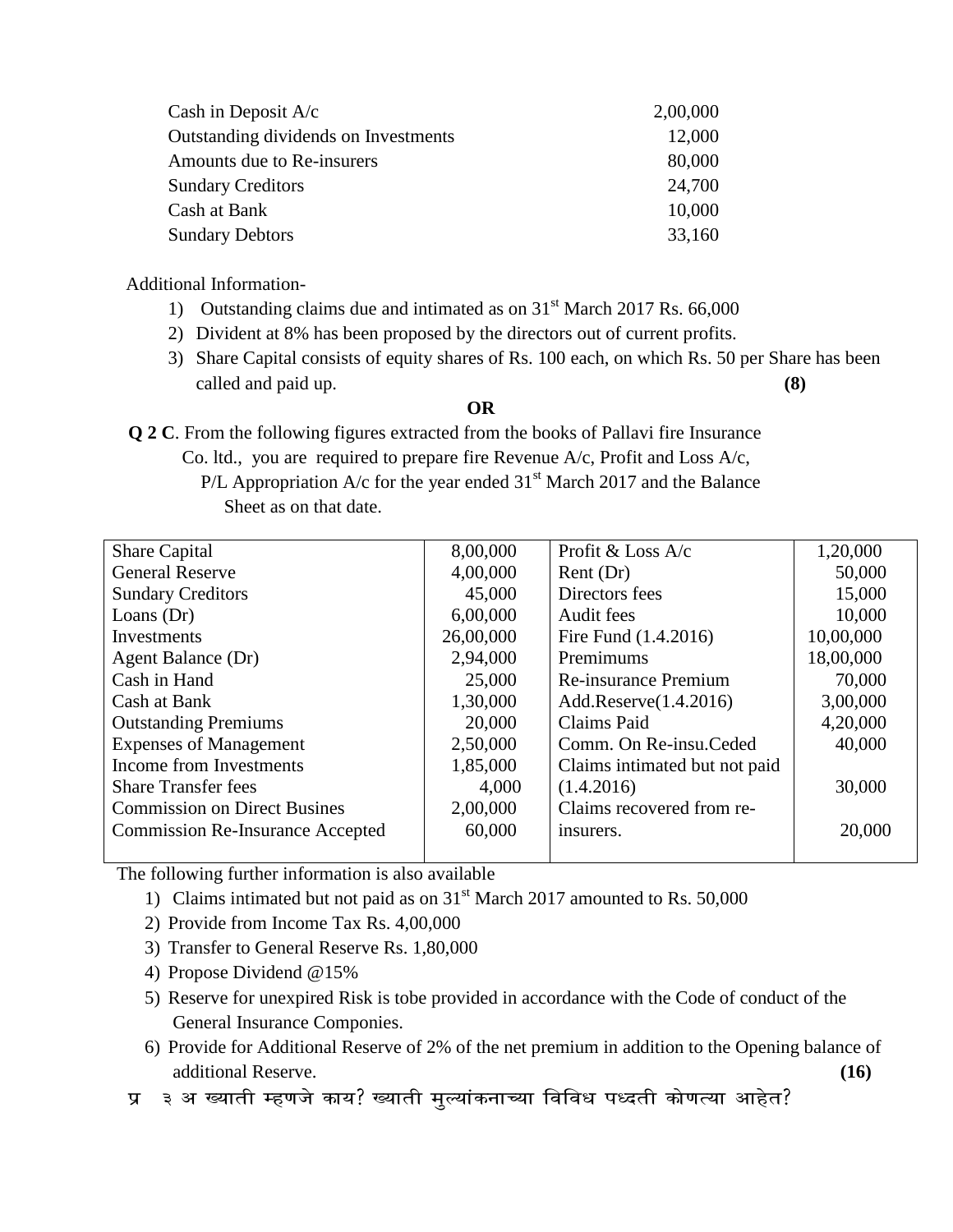| Cash in Deposit $A/c$                | 2,00,000 |
|--------------------------------------|----------|
| Outstanding dividends on Investments | 12,000   |
| Amounts due to Re-insurers           | 80,000   |
| <b>Sundary Creditors</b>             | 24,700   |
| Cash at Bank                         | 10,000   |
| <b>Sundary Debtors</b>               | 33,160   |
|                                      |          |

Additional Information-

- 1) Outstanding claims due and intimated as on  $31<sup>st</sup>$  March 2017 Rs. 66,000
- 2) Divident at 8% has been proposed by the directors out of current profits.
- 3) Share Capital consists of equity shares of Rs. 100 each, on which Rs. 50 per Share has been called and paid up. **(8)**

#### **OR**

**Q 2 C**. From the following figures extracted from the books of Pallavi fire Insurance

- Co. ltd., you are required to prepare fire Revenue A/c, Profit and Loss A/c,
	- P/L Appropriation A/c for the year ended  $31<sup>st</sup>$  March 2017 and the Balance Sheet as on that date.

| <b>Share Capital</b>                    | 8,00,000  | Profit & Loss A/c             | 1,20,000  |
|-----------------------------------------|-----------|-------------------------------|-----------|
| <b>General Reserve</b>                  | 4,00,000  | Rent(Dr)                      | 50,000    |
| <b>Sundary Creditors</b>                | 45,000    | Directors fees                | 15,000    |
| Loans $(Dr)$                            | 6,00,000  | Audit fees                    | 10,000    |
| Investments                             | 26,00,000 | Fire Fund (1.4.2016)          | 10,00,000 |
| Agent Balance (Dr)                      | 2,94,000  | Premimums                     | 18,00,000 |
| Cash in Hand                            | 25,000    | Re-insurance Premium          | 70,000    |
| Cash at Bank                            | 1,30,000  | Add.Reserve(1.4.2016)         | 3,00,000  |
| <b>Outstanding Premiums</b>             | 20,000    | Claims Paid                   | 4,20,000  |
| <b>Expenses of Management</b>           | 2,50,000  | Comm. On Re-insu. Ceded       | 40,000    |
| Income from Investments                 | 1,85,000  | Claims intimated but not paid |           |
| <b>Share Transfer fees</b>              | 4,000     | (1.4.2016)                    | 30,000    |
| <b>Commission on Direct Busines</b>     | 2,00,000  | Claims recovered from re-     |           |
| <b>Commission Re-Insurance Accepted</b> | 60,000    | insurers.                     | 20,000    |
|                                         |           |                               |           |

The following further information is also available

- 1) Claims intimated but not paid as on  $31<sup>st</sup>$  March 2017 amounted to Rs. 50,000
- 2) Provide from Income Tax Rs. 4,00,000
- 3) Transfer to General Reserve Rs. 1,80,000
- 4) Propose Dividend @15%
- 5) Reserve for unexpired Risk is tobe provided in accordance with the Code of conduct of the General Insurance Componies.
- 6) Provide for Additional Reserve of 2% of the net premium in addition to the Opening balance of additional Reserve. **(16)**

**प्र** ३ अ ख्याती म्हणजे काय? ख्याती मुल्यांकनाच्या विविध पध्दती कोणत्या आहेत?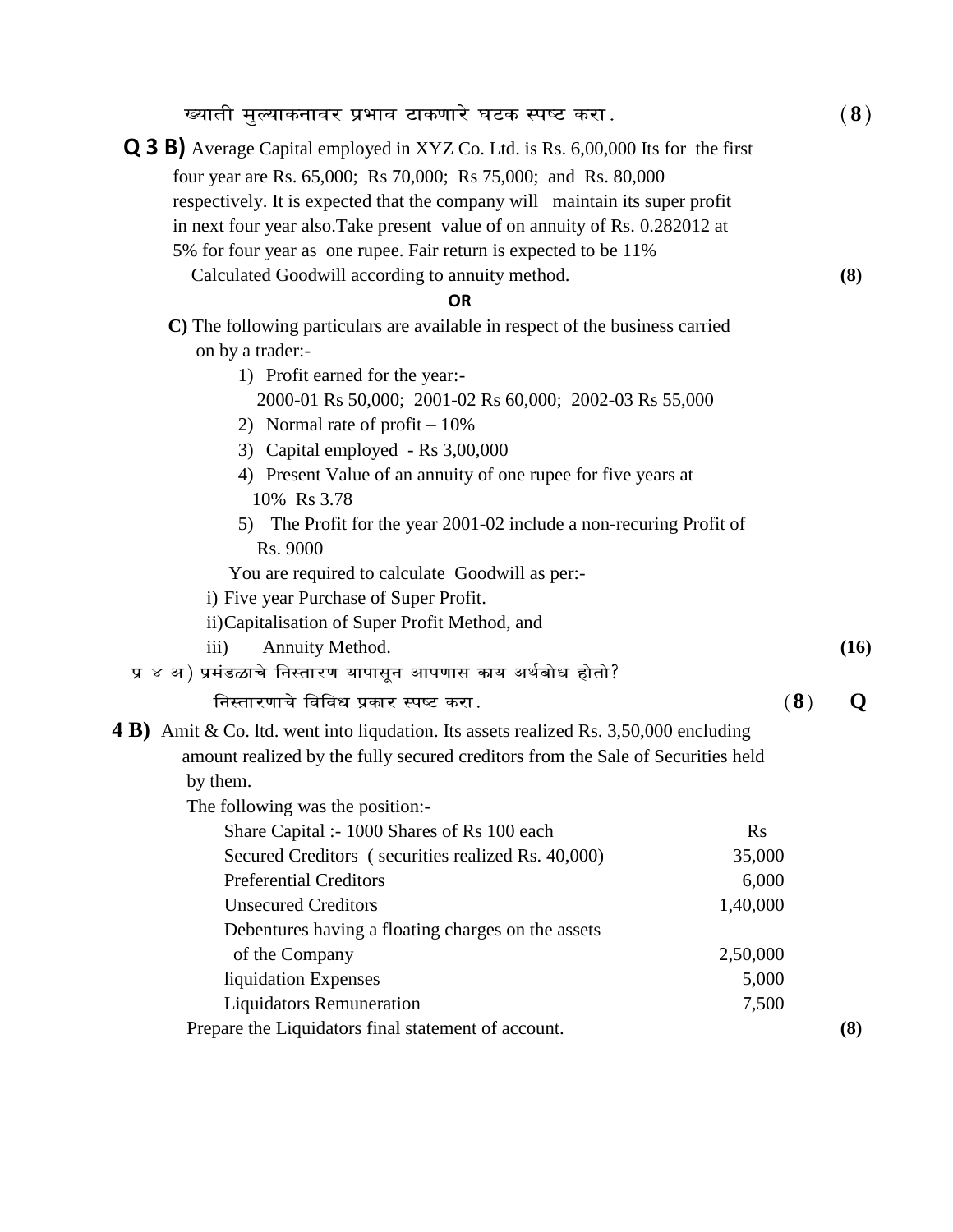| ख्याती मुल्याकनावर प्रभाव टाकणारे घटक स्पष्ट करा.                                                                                                                                                                                                                                                                         |                | (8)  |  |  |
|---------------------------------------------------------------------------------------------------------------------------------------------------------------------------------------------------------------------------------------------------------------------------------------------------------------------------|----------------|------|--|--|
| <b>Q 3 B)</b> Average Capital employed in XYZ Co. Ltd. is Rs. 6,00,000 Its for the first<br>four year are Rs. 65,000; Rs 70,000; Rs 75,000; and Rs. 80,000<br>respectively. It is expected that the company will maintain its super profit<br>in next four year also. Take present value of on annuity of Rs. 0.282012 at |                |      |  |  |
| 5% for four year as one rupee. Fair return is expected to be 11%                                                                                                                                                                                                                                                          |                |      |  |  |
| Calculated Goodwill according to annuity method.                                                                                                                                                                                                                                                                          |                | (8)  |  |  |
| <b>OR</b>                                                                                                                                                                                                                                                                                                                 |                |      |  |  |
| C) The following particulars are available in respect of the business carried                                                                                                                                                                                                                                             |                |      |  |  |
| on by a trader:-                                                                                                                                                                                                                                                                                                          |                |      |  |  |
| 1) Profit earned for the year:-                                                                                                                                                                                                                                                                                           |                |      |  |  |
| 2000-01 Rs 50,000; 2001-02 Rs 60,000; 2002-03 Rs 55,000                                                                                                                                                                                                                                                                   |                |      |  |  |
| 2) Normal rate of profit $-10\%$                                                                                                                                                                                                                                                                                          |                |      |  |  |
| 3) Capital employed - Rs 3,00,000                                                                                                                                                                                                                                                                                         |                |      |  |  |
| 4) Present Value of an annuity of one rupee for five years at<br>10% Rs 3.78                                                                                                                                                                                                                                              |                |      |  |  |
| 5) The Profit for the year 2001-02 include a non-recuring Profit of                                                                                                                                                                                                                                                       |                |      |  |  |
| Rs. 9000                                                                                                                                                                                                                                                                                                                  |                |      |  |  |
| You are required to calculate Goodwill as per:-                                                                                                                                                                                                                                                                           |                |      |  |  |
| i) Five year Purchase of Super Profit.                                                                                                                                                                                                                                                                                    |                |      |  |  |
| ii) Capitalisation of Super Profit Method, and                                                                                                                                                                                                                                                                            |                |      |  |  |
| Annuity Method.<br>iii)                                                                                                                                                                                                                                                                                                   |                | (16) |  |  |
| प्र ४ अ) प्रमंडळाचे निस्तारण यापासून आपणास काय अर्थबोध होतो?                                                                                                                                                                                                                                                              |                |      |  |  |
| निस्तारणाचे विविध प्रकार स्पष्ट करा.                                                                                                                                                                                                                                                                                      | (8)            | O    |  |  |
| <b>4 B)</b> Amit & Co. 1td. went into liqudation. Its assets realized Rs. 3,50,000 encluding                                                                                                                                                                                                                              |                |      |  |  |
| amount realized by the fully secured creditors from the Sale of Securities held                                                                                                                                                                                                                                           |                |      |  |  |
| by them.                                                                                                                                                                                                                                                                                                                  |                |      |  |  |
| The following was the position:-                                                                                                                                                                                                                                                                                          |                |      |  |  |
| Share Capital :- 1000 Shares of Rs 100 each                                                                                                                                                                                                                                                                               | $\mathbf{R}$ s |      |  |  |
| Secured Creditors (securities realized Rs. 40,000)<br>35,000                                                                                                                                                                                                                                                              |                |      |  |  |
| <b>Preferential Creditors</b><br>6,000                                                                                                                                                                                                                                                                                    |                |      |  |  |
| <b>Unsecured Creditors</b>                                                                                                                                                                                                                                                                                                | 1,40,000       |      |  |  |
| Debentures having a floating charges on the assets                                                                                                                                                                                                                                                                        |                |      |  |  |
| of the Company                                                                                                                                                                                                                                                                                                            | 2,50,000       |      |  |  |
| liquidation Expenses                                                                                                                                                                                                                                                                                                      | 5,000          |      |  |  |
| <b>Liquidators Remuneration</b>                                                                                                                                                                                                                                                                                           | 7,500          |      |  |  |
| Prepare the Liquidators final statement of account.                                                                                                                                                                                                                                                                       |                | (8)  |  |  |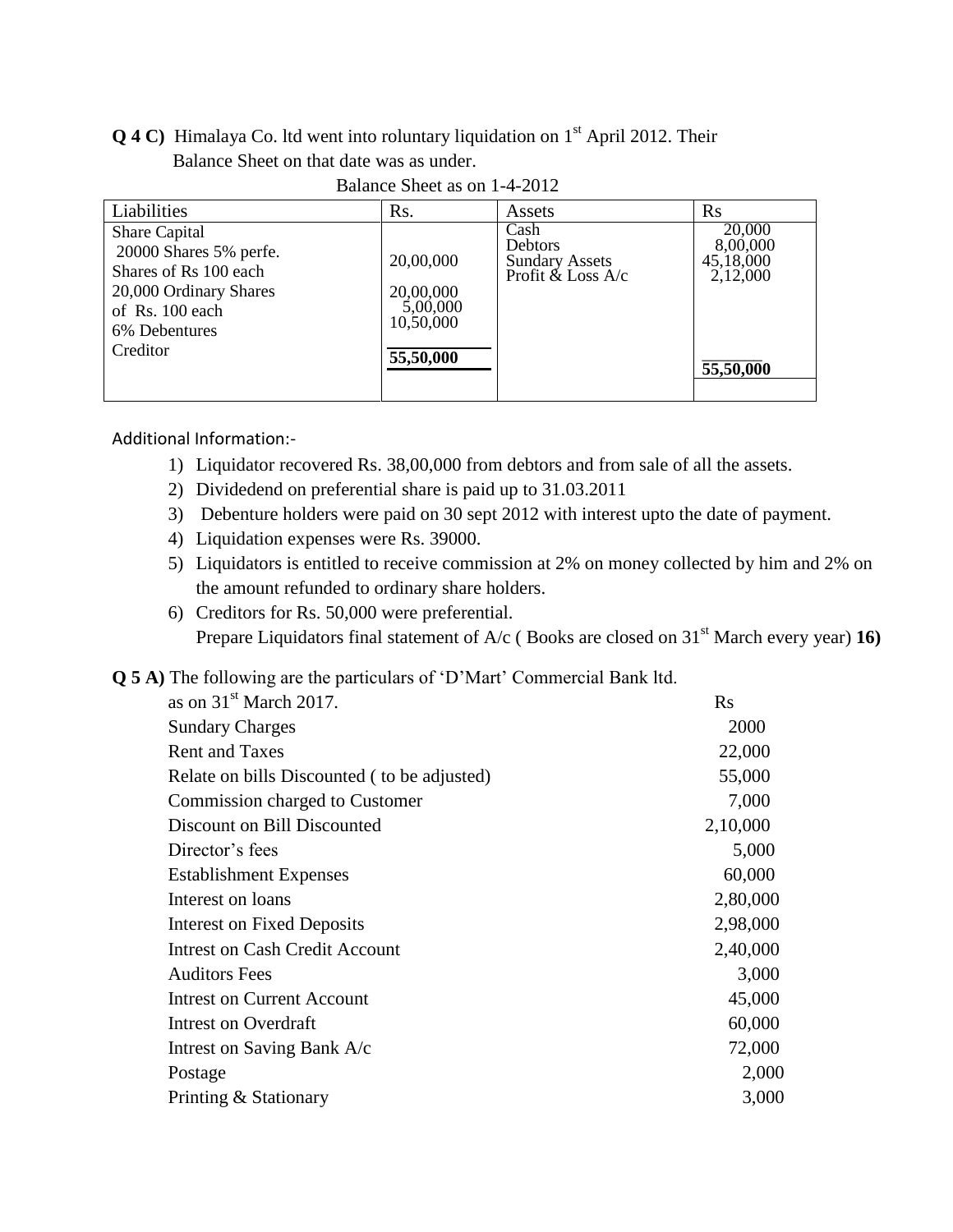#### **Q 4 C)** Himalaya Co. ltd went into roluntary liquidation on 1<sup>st</sup> April 2012. Their Balance Sheet on that date was as under.

| Liabilities                                                                                                                    | R <sub>s</sub> .                                | Assets                                                                 | $\rm Rs$                                    |
|--------------------------------------------------------------------------------------------------------------------------------|-------------------------------------------------|------------------------------------------------------------------------|---------------------------------------------|
| Share Capital<br>20000 Shares 5% perfe.<br>Shares of Rs 100 each<br>20,000 Ordinary Shares<br>of Rs. 100 each<br>6% Debentures | 20,00,000<br>20,00,000<br>5,00,000<br>10,50,000 | Cash<br><b>Debtors</b><br><b>Sundary Assets</b><br>Profit $&$ Loss A/c | 20,000<br>8,00,000<br>45,18,000<br>2,12,000 |
| Creditor                                                                                                                       | 55,50,000                                       |                                                                        | $\overline{55,50,000}$                      |

Balance Sheet as on 1-4-2012

#### Additional Information:-

- 1) Liquidator recovered Rs. 38,00,000 from debtors and from sale of all the assets.
- 2) Dividedend on preferential share is paid up to 31.03.2011
- 3) Debenture holders were paid on 30 sept 2012 with interest upto the date of payment.
- 4) Liquidation expenses were Rs. 39000.
- 5) Liquidators is entitled to receive commission at 2% on money collected by him and 2% on the amount refunded to ordinary share holders.
- 6) Creditors for Rs. 50,000 were preferential. Prepare Liquidators final statement of A/c (Books are closed on 31<sup>st</sup> March every year) **16**)
- **Q 5 A)** The following are the particulars of 'D'Mart' Commercial Bank ltd.

| as on $31st$ March 2017.                    | <b>Rs</b> |
|---------------------------------------------|-----------|
| <b>Sundary Charges</b>                      | 2000      |
| <b>Rent and Taxes</b>                       | 22,000    |
| Relate on bills Discounted (to be adjusted) | 55,000    |
| Commission charged to Customer              | 7,000     |
| Discount on Bill Discounted                 | 2,10,000  |
| Director's fees                             | 5,000     |
| <b>Establishment Expenses</b>               | 60,000    |
| Interest on loans                           | 2,80,000  |
| <b>Interest on Fixed Deposits</b>           | 2,98,000  |
| <b>Intrest on Cash Credit Account</b>       | 2,40,000  |
| <b>Auditors Fees</b>                        | 3,000     |
| <b>Intrest on Current Account</b>           | 45,000    |
| <b>Intrest on Overdraft</b>                 | 60,000    |
| Intrest on Saving Bank A/c                  | 72,000    |
| Postage                                     | 2,000     |
| Printing & Stationary                       | 3,000     |